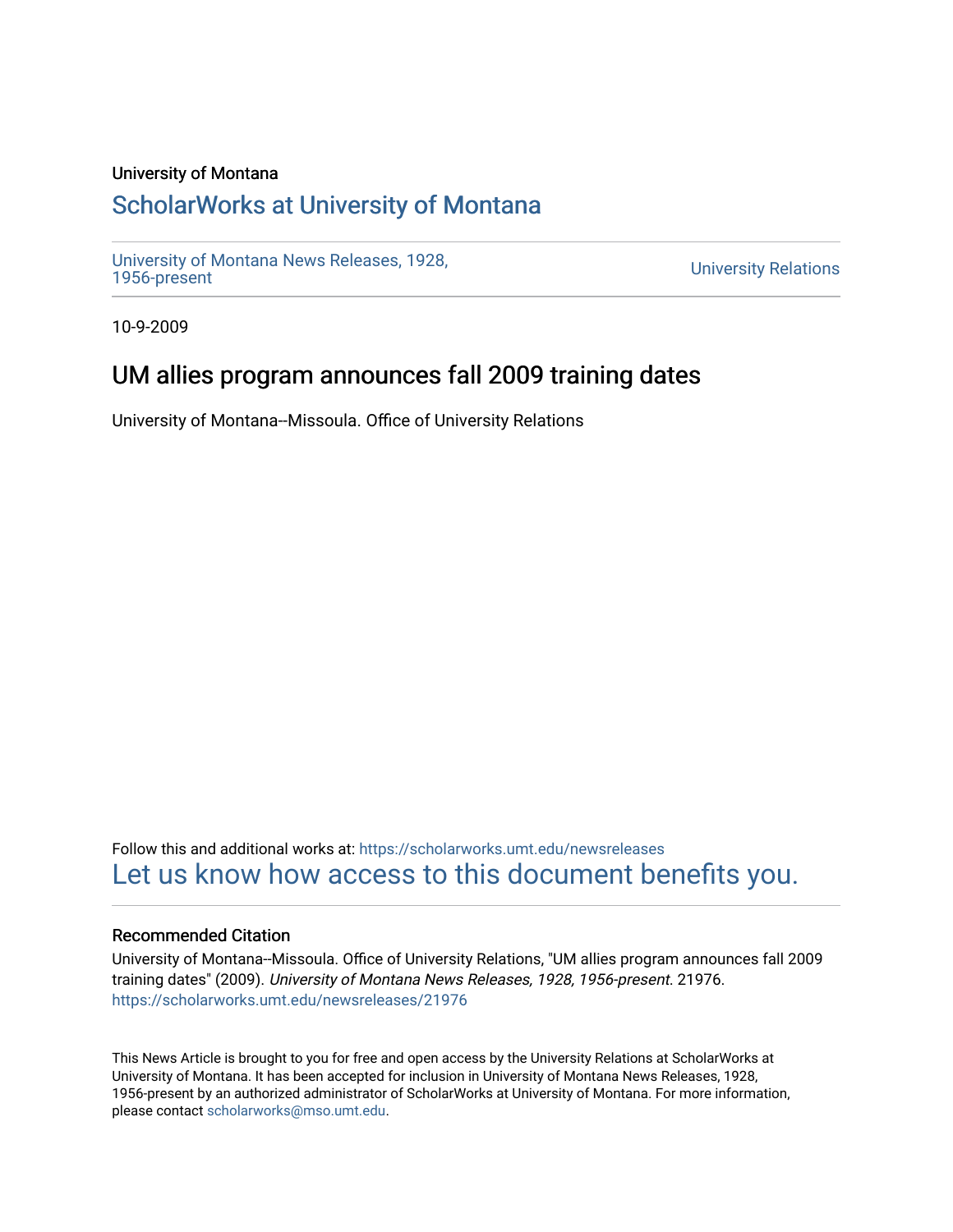## University of Montana

# [ScholarWorks at University of Montana](https://scholarworks.umt.edu/)

[University of Montana News Releases, 1928,](https://scholarworks.umt.edu/newsreleases) 

**University Relations** 

10-9-2009

# UM allies program announces fall 2009 training dates

University of Montana--Missoula. Office of University Relations

Follow this and additional works at: [https://scholarworks.umt.edu/newsreleases](https://scholarworks.umt.edu/newsreleases?utm_source=scholarworks.umt.edu%2Fnewsreleases%2F21976&utm_medium=PDF&utm_campaign=PDFCoverPages) [Let us know how access to this document benefits you.](https://goo.gl/forms/s2rGfXOLzz71qgsB2) 

### Recommended Citation

University of Montana--Missoula. Office of University Relations, "UM allies program announces fall 2009 training dates" (2009). University of Montana News Releases, 1928, 1956-present. 21976. [https://scholarworks.umt.edu/newsreleases/21976](https://scholarworks.umt.edu/newsreleases/21976?utm_source=scholarworks.umt.edu%2Fnewsreleases%2F21976&utm_medium=PDF&utm_campaign=PDFCoverPages) 

This News Article is brought to you for free and open access by the University Relations at ScholarWorks at University of Montana. It has been accepted for inclusion in University of Montana News Releases, 1928, 1956-present by an authorized administrator of ScholarWorks at University of Montana. For more information, please contact [scholarworks@mso.umt.edu.](mailto:scholarworks@mso.umt.edu)